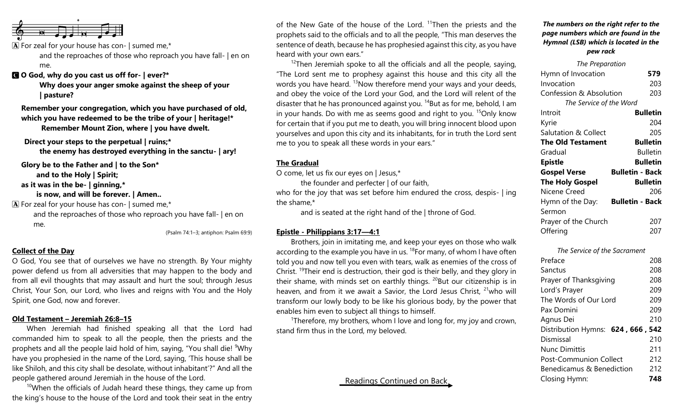

 $\bf{A}$  For zeal for your house has con- | sumed me,\*

and the reproaches of those who reproach you have fall- | en on me.

C **O God, why do you cast us off for- | ever?\***

**Why does your anger smoke against the sheep of your | pasture?**

**Remember your congregation, which you have purchased of old, which you have redeemed to be the tribe of your | heritage!\* Remember Mount Zion, where | you have dwelt.**

**Direct your steps to the perpetual | ruins;\* the enemy has destroyed everything in the sanctu- | ary!**

**Glory be to the Father and | to the Son\***

**and to the Holy | Spirit;**

**as it was in the be- | ginning,\***

**is now, and will be forever. | Amen..**

 $\mathbf{\overline{A}}$  For zeal for your house has con- | sumed me,\*

and the reproaches of those who reproach you have fall- | en on me.

(Psalm 74:1–3; antiphon: Psalm 69:9)

# **Collect of the Day**

O God, You see that of ourselves we have no strength. By Your mighty power defend us from all adversities that may happen to the body and from all evil thoughts that may assault and hurt the soul; through Jesus Christ, Your Son, our Lord, who lives and reigns with You and the Holy Spirit, one God, now and forever.

## **Old Testament – Jeremiah 26:8–15**

When Jeremiah had finished speaking all that the Lord had commanded him to speak to all the people, then the priests and the prophets and all the people laid hold of him, saying, "You shall die! <sup>9</sup>Why have you prophesied in the name of the Lord, saying, 'This house shall be like Shiloh, and this city shall be desolate, without inhabitant'?" And all the people gathered around Jeremiah in the house of the Lord.

 $10$ When the officials of Judah heard these things, they came up from the king's house to the house of the Lord and took their seat in the entry

of the New Gate of the house of the Lord. <sup>11</sup>Then the priests and the prophets said to the officials and to all the people, "This man deserves the sentence of death, because he has prophesied against this city, as you have heard with your own ears."

 $12$ Then Jeremiah spoke to all the officials and all the people, saying, "The Lord sent me to prophesy against this house and this city all the words you have heard. <sup>13</sup>Now therefore mend your ways and your deeds, and obey the voice of the Lord your God, and the Lord will relent of the disaster that he has pronounced against you.  $14$ But as for me, behold, I am in your hands. Do with me as seems good and right to you.  $15$ Only know for certain that if you put me to death, you will bring innocent blood upon yourselves and upon this city and its inhabitants, for in truth the Lord sent me to you to speak all these words in your ears."

#### **The Gradual**

O come, let us fix our eyes on | Jesus,\*

the founder and perfecter | of our faith, who for the joy that was set before him endured the cross, despis- | ing the shame,\*

and is seated at the right hand of the | throne of God.

# **Epistle - Philippians 3:17—4:1**

Brothers, join in imitating me, and keep your eyes on those who walk according to the example you have in us.  $^{18}$  For many, of whom I have often told you and now tell you even with tears, walk as enemies of the cross of Christ. <sup>19</sup>Their end is destruction, their god is their belly, and they glory in their shame, with minds set on earthly things.  $^{20}$ But our citizenship is in heaven, and from it we await a Savior, the Lord Jesus Christ,  $21$  who will transform our lowly body to be like his glorious body, by the power that enables him even to subject all things to himself.

<sup>1</sup>Therefore, my brothers, whom I love and long for, my joy and crown, stand firm thus in the Lord, my beloved.

# Readings Continued on Back

# *The numbers on the right refer to the page numbers which are found in the Hymnal (LSB) which is located in the pew rack*

| The Preparation                    |                        |
|------------------------------------|------------------------|
| Hymn of Invocation                 | 579                    |
| Invocation                         | 203                    |
| <b>Confession &amp; Absolution</b> | 203                    |
| The Service of the Word            |                        |
| Introit                            | <b>Bulletin</b>        |
| Kyrie                              | 204                    |
| <b>Salutation &amp; Collect</b>    | 205                    |
| <b>The Old Testament</b>           | <b>Bulletin</b>        |
| Gradual                            | <b>Bulletin</b>        |
| <b>Epistle</b>                     | Bulletin               |
| <b>Gospel Verse</b>                | <b>Bulletin - Back</b> |
| <b>The Holy Gospel</b>             | <b>Bulletin</b>        |
| Nicene Creed                       | 206                    |
| Hymn of the Day:                   | <b>Bulletin - Back</b> |
| Sermon                             |                        |
| Prayer of the Church               | 207                    |
| Offering                           | 207                    |
|                                    |                        |

| The Service of the Sacrament      |     |
|-----------------------------------|-----|
| Preface                           | 208 |
| Sanctus                           | 208 |
| Prayer of Thanksgiving            |     |
| Lord's Prayer                     | 209 |
| The Words of Our Lord             |     |
| Pax Domini                        | 209 |
| Agnus Dei                         | 210 |
| Distribution Hymns: 624, 666, 542 |     |
| Dismissal                         | 210 |
| <b>Nunc Dimittis</b>              | 211 |
| <b>Post-Communion Collect</b>     |     |
| Benedicamus & Benediction         |     |
| Closing Hymn:                     | 748 |
|                                   |     |